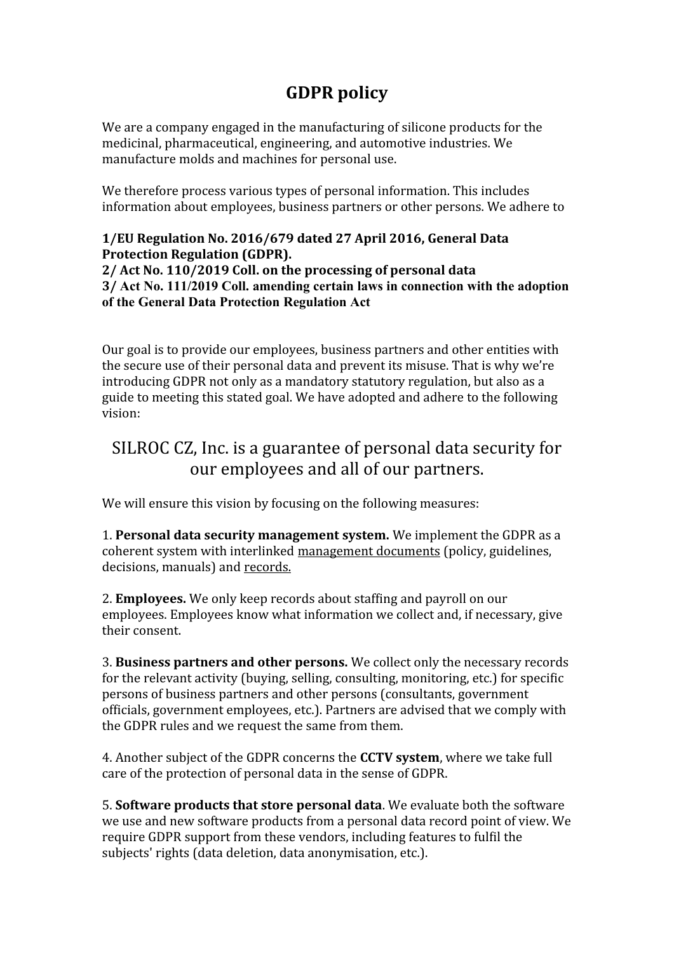## **GDPR policy**

We are a company engaged in the manufacturing of silicone products for the medicinal, pharmaceutical, engineering, and automotive industries. We manufacture molds and machines for personal use.

We therefore process various types of personal information. This includes information about employees, business partners or other persons. We adhere to

## **1/EU Regulation No. 2016/679 dated 27 April 2016, General Data Protection Regulation (GDPR).**

**2/ Act No. 110/2019 Coll. on the processing of personal data 3/ Act No. 111/2019 Coll. amending certain laws in connection with the adoption of the General Data Protection Regulation Act**

Our goal is to provide our employees, business partners and other entities with the secure use of their personal data and prevent its misuse. That is why we're introducing GDPR not only as a mandatory statutory regulation, but also as a guide to meeting this stated goal. We have adopted and adhere to the following vision:

## SILROC CZ, Inc. is a guarantee of personal data security for our employees and all of our partners.

We will ensure this vision by focusing on the following measures:

1. **Personal data security management system.** We implement the GDPR as a coherent system with interlinked management documents (policy, guidelines, decisions, manuals) and records.

2. **Employees.** We only keep records about staffing and payroll on our employees. Employees know what information we collect and, if necessary, give their consent.

3. **Business partners and other persons.** We collect only the necessary records for the relevant activity (buying, selling, consulting, monitoring, etc.) for specific persons of business partners and other persons (consultants, government officials, government employees, etc.). Partners are advised that we comply with the GDPR rules and we request the same from them.

4. Another subject of the GDPR concerns the **CCTV system**, where we take full care of the protection of personal data in the sense of GDPR.

5. **Software products that store personal data**. We evaluate both the software we use and new software products from a personal data record point of view. We require GDPR support from these vendors, including features to fulfil the subjects' rights (data deletion, data anonymisation, etc.).